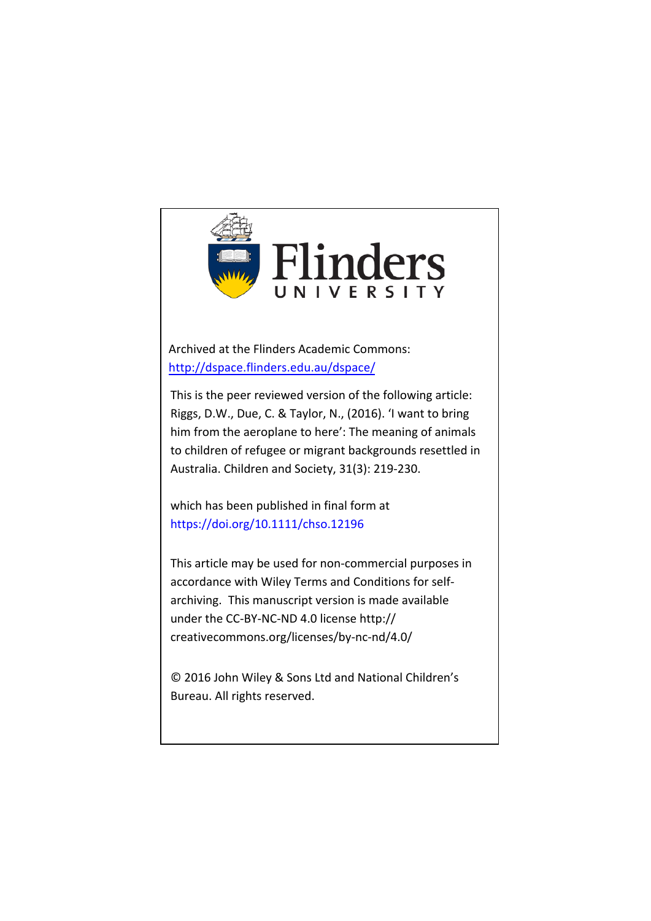

Archived at the Flinders Academic Commons: <http://dspace.flinders.edu.au/dspace/>

This is the peer reviewed version of the following article: Riggs, D.W., Due, C. & Taylor, N., (2016). 'I want to bring him from the aeroplane to here': The meaning of animals to children of refugee or migrant backgrounds resettled in Australia. Children and Society, 31(3): 219-230.

which has been published in final form at https://doi.org/10.1111/chso.12196

This article may be used for non-commercial purposes in accordance with Wiley Terms and Conditions for selfarchiving. This manuscript version is made available under the CC-BY-NC-ND 4.0 license http:// creativecommons.org/licenses/by-nc-nd/4.0/

© 2016 John Wiley & Sons Ltd and National Children's Bureau. All rights reserved.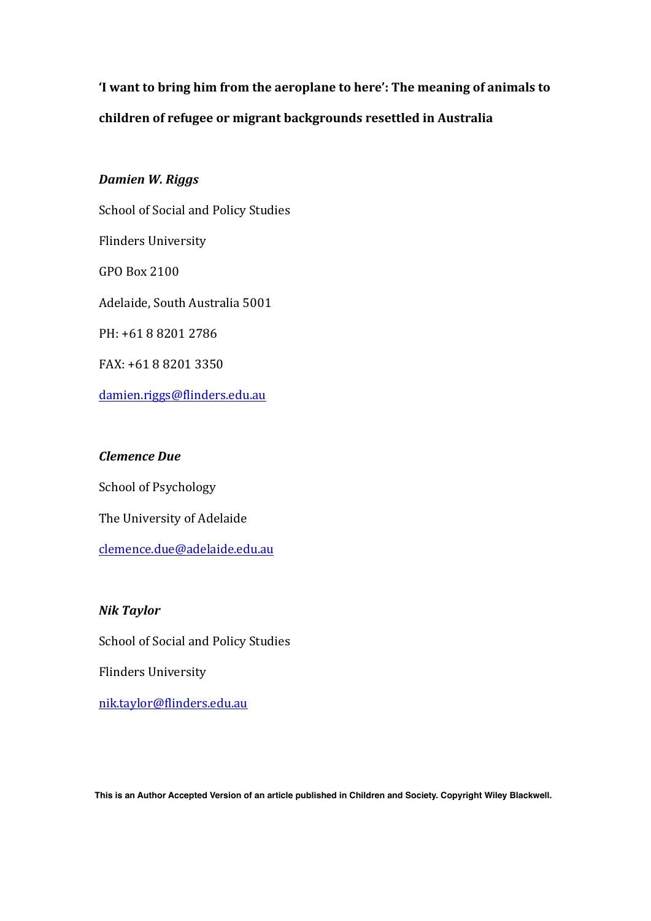'I want to bring him from the aeroplane to here': The meaning of animals to children of refugee or migrant backgrounds resettled in Australia

# *Damien W. Riggs*

School of Social and Policy Studies Flinders University GPO Box 2100 Adelaide, South Australia 5001 PH: +61 8 8201 2786 FAX: +61 8 8201 3350 damien.riggs@flinders.edu.au

# *Clemence Due*

School of Psychology The University of Adelaide clemence.due@adelaide.edu.au

# *Nik Taylor*

School of Social and Policy Studies

Flinders University

nik.taylor@flinders.edu.au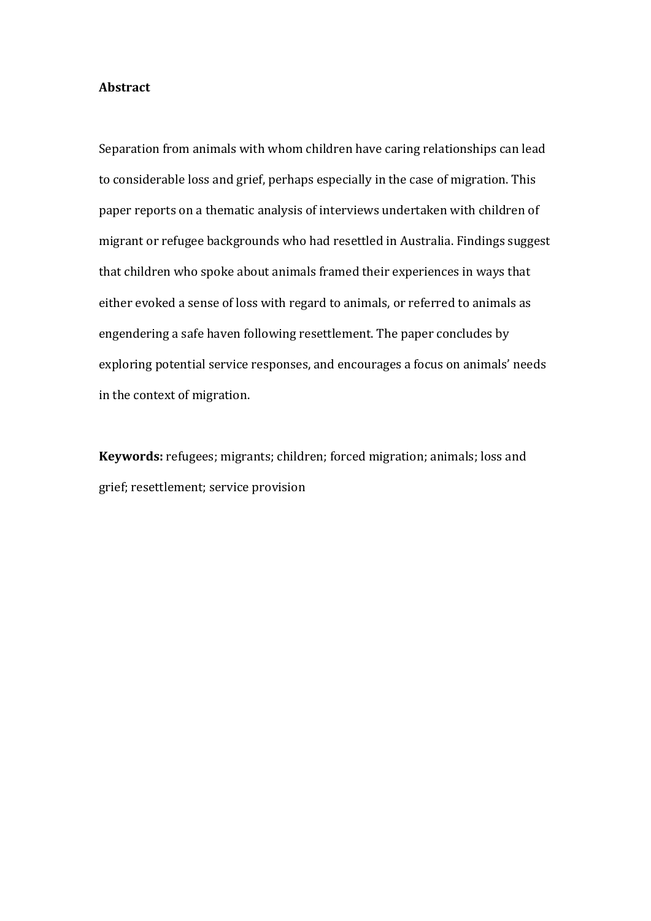# **Abstract**

Separation from animals with whom children have caring relationships can lead to considerable loss and grief, perhaps especially in the case of migration. This paper reports on a thematic analysis of interviews undertaken with children of migrant or refugee backgrounds who had resettled in Australia. Findings suggest that children who spoke about animals framed their experiences in ways that either evoked a sense of loss with regard to animals, or referred to animals as engendering a safe haven following resettlement. The paper concludes by exploring potential service responses, and encourages a focus on animals' needs in the context of migration.

**Keywords:** refugees; migrants; children; forced migration; animals; loss and grief; resettlement; service provision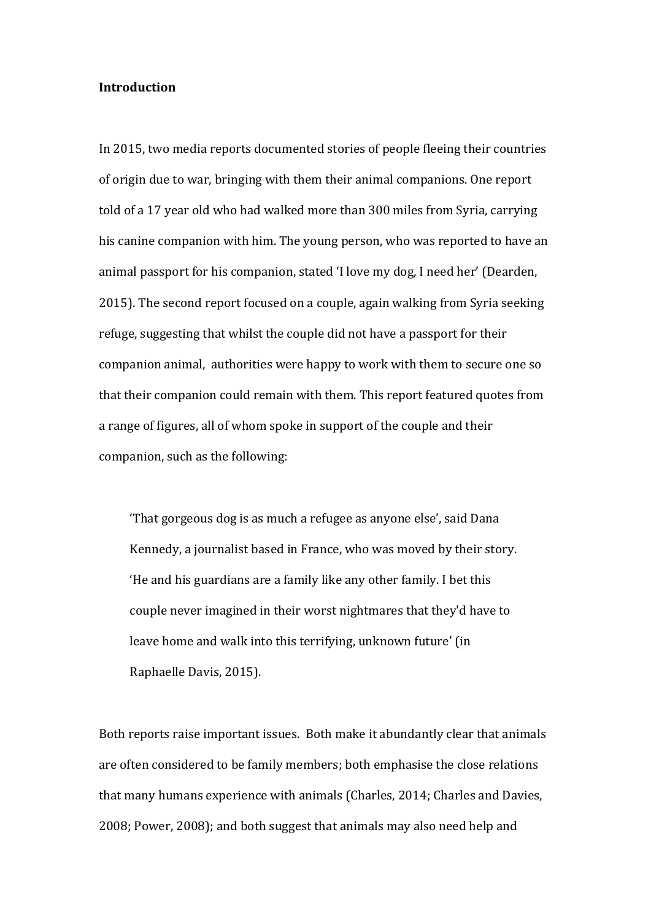## **Introduction**

In 2015, two media reports documented stories of people fleeing their countries of origin due to war, bringing with them their animal companions. One report told of a 17 year old who had walked more than 300 miles from Syria, carrying his canine companion with him. The young person, who was reported to have an animal passport for his companion, stated 'I love my dog, I need her' (Dearden, 2015). The second report focused on a couple, again walking from Syria seeking refuge, suggesting that whilst the couple did not have a passport for their companion animal, authorities were happy to work with them to secure one so that their companion could remain with them. This report featured quotes from a range of figures, all of whom spoke in support of the couple and their companion, such as the following:

'That gorgeous dog is as much a refugee as anyone else', said Dana Kennedy, a journalist based in France, who was moved by their story. 'He and his guardians are a family like any other family. I bet this couple never imagined in their worst nightmares that they'd have to leave home and walk into this terrifying, unknown future' (in Raphaelle Davis, 2015).

Both reports raise important issues. Both make it abundantly clear that animals are often considered to be family members; both emphasise the close relations that many humans experience with animals (Charles, 2014; Charles and Davies, 2008; Power, 2008); and both suggest that animals may also need help and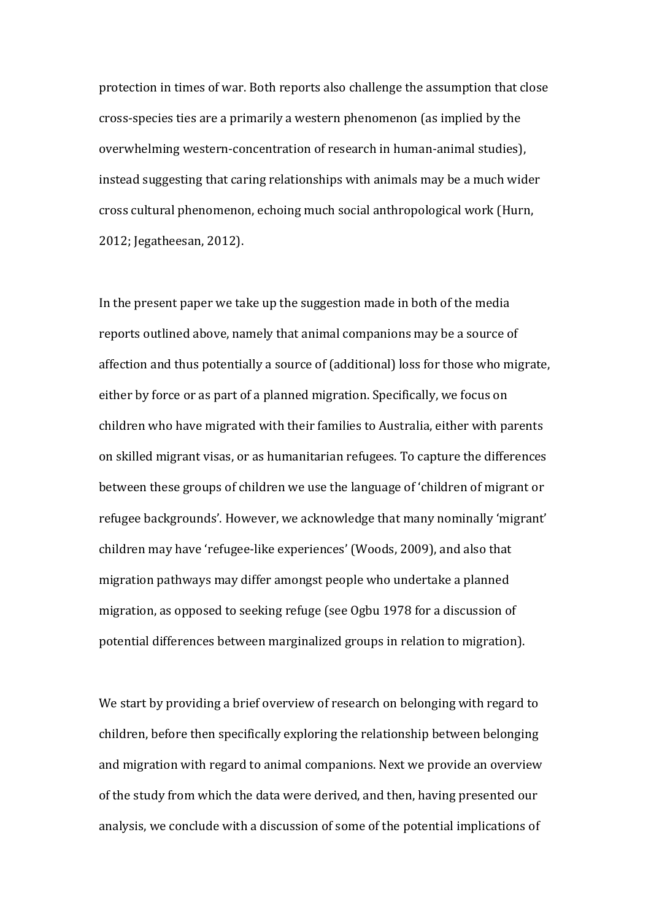protection in times of war. Both reports also challenge the assumption that close cross-species ties are a primarily a western phenomenon (as implied by the overwhelming western-concentration of research in human-animal studies), instead suggesting that caring relationships with animals may be a much wider cross cultural phenomenon, echoing much social anthropological work (Hurn, 2012; Jegatheesan, 2012).

In the present paper we take up the suggestion made in both of the media reports outlined above, namely that animal companions may be a source of affection and thus potentially a source of (additional) loss for those who migrate, either by force or as part of a planned migration. Specifically, we focus on children who have migrated with their families to Australia, either with parents on skilled migrant visas, or as humanitarian refugees. To capture the differences between these groups of children we use the language of 'children of migrant or refugee backgrounds'. However, we acknowledge that many nominally 'migrant' children may have 'refugee-like experiences' (Woods, 2009), and also that migration pathways may differ amongst people who undertake a planned migration, as opposed to seeking refuge (see Ogbu 1978 for a discussion of potential differences between marginalized groups in relation to migration).

We start by providing a brief overview of research on belonging with regard to children, before then specifically exploring the relationship between belonging and migration with regard to animal companions. Next we provide an overview of the study from which the data were derived, and then, having presented our analysis, we conclude with a discussion of some of the potential implications of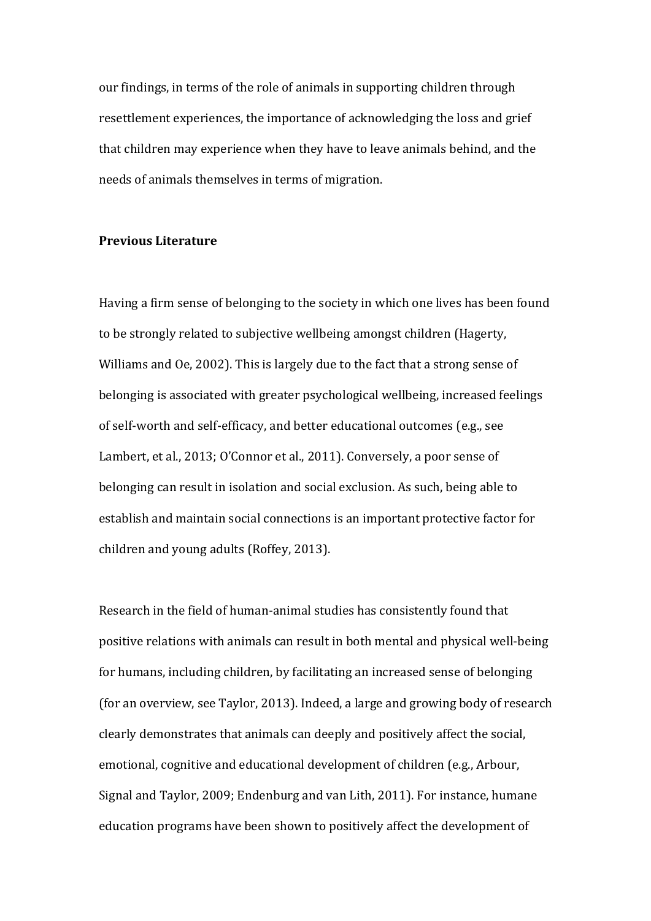our findings, in terms of the role of animals in supporting children through resettlement experiences, the importance of acknowledging the loss and grief that children may experience when they have to leave animals behind, and the needs of animals themselves in terms of migration.

## **Previous Literature**

Having a firm sense of belonging to the society in which one lives has been found to be strongly related to subjective wellbeing amongst children (Hagerty, Williams and Oe, 2002). This is largely due to the fact that a strong sense of belonging is associated with greater psychological wellbeing, increased feelings of self-worth and self-efficacy, and better educational outcomes (e.g., see Lambert, et al., 2013; O'Connor et al., 2011). Conversely, a poor sense of belonging can result in isolation and social exclusion. As such, being able to establish and maintain social connections is an important protective factor for children and young adults (Roffey, 2013).

Research in the field of human-animal studies has consistently found that positive relations with animals can result in both mental and physical well-being for humans, including children, by facilitating an increased sense of belonging (for an overview, see Taylor, 2013). Indeed, a large and growing body of research clearly demonstrates that animals can deeply and positively affect the social, emotional, cognitive and educational development of children (e.g., Arbour, Signal and Taylor, 2009; Endenburg and van Lith, 2011). For instance, humane education programs have been shown to positively affect the development of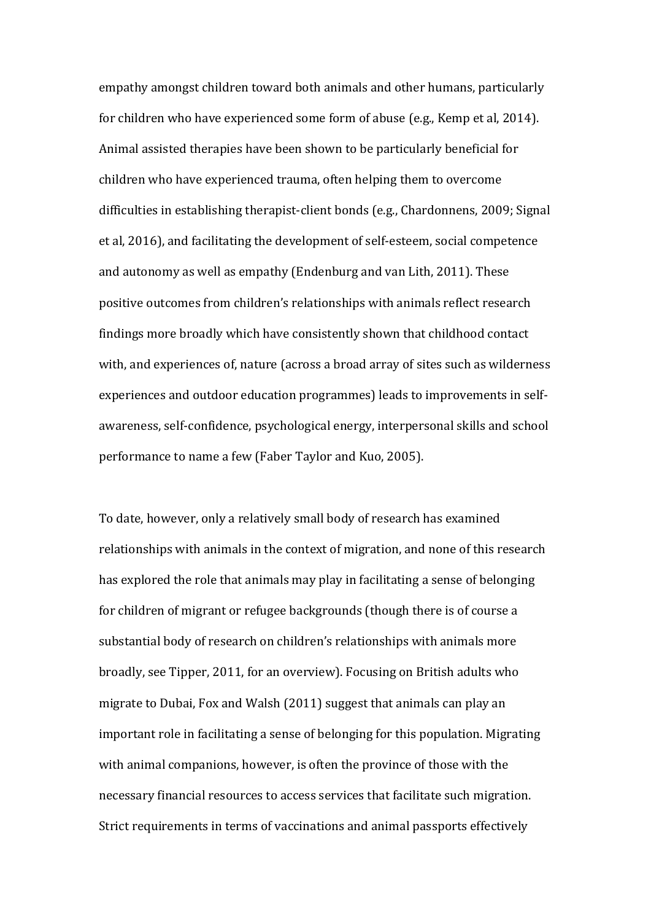empathy amongst children toward both animals and other humans, particularly for children who have experienced some form of abuse (e.g., Kemp et al, 2014). Animal assisted therapies have been shown to be particularly beneficial for children who have experienced trauma, often helping them to overcome difficulties in establishing therapist-client bonds (e.g., Chardonnens, 2009; Signal et al, 2016), and facilitating the development of self-esteem, social competence and autonomy as well as empathy (Endenburg and van Lith, 2011). These positive outcomes from children's relationships with animals reflect research findings more broadly which have consistently shown that childhood contact with, and experiences of, nature (across a broad array of sites such as wilderness experiences and outdoor education programmes) leads to improvements in selfawareness, self-confidence, psychological energy, interpersonal skills and school performance to name a few (Faber Taylor and Kuo, 2005).

To date, however, only a relatively small body of research has examined relationships with animals in the context of migration, and none of this research has explored the role that animals may play in facilitating a sense of belonging for children of migrant or refugee backgrounds (though there is of course a substantial body of research on children's relationships with animals more broadly, see Tipper, 2011, for an overview). Focusing on British adults who migrate to Dubai, Fox and Walsh (2011) suggest that animals can play an important role in facilitating a sense of belonging for this population. Migrating with animal companions, however, is often the province of those with the necessary financial resources to access services that facilitate such migration. Strict requirements in terms of vaccinations and animal passports effectively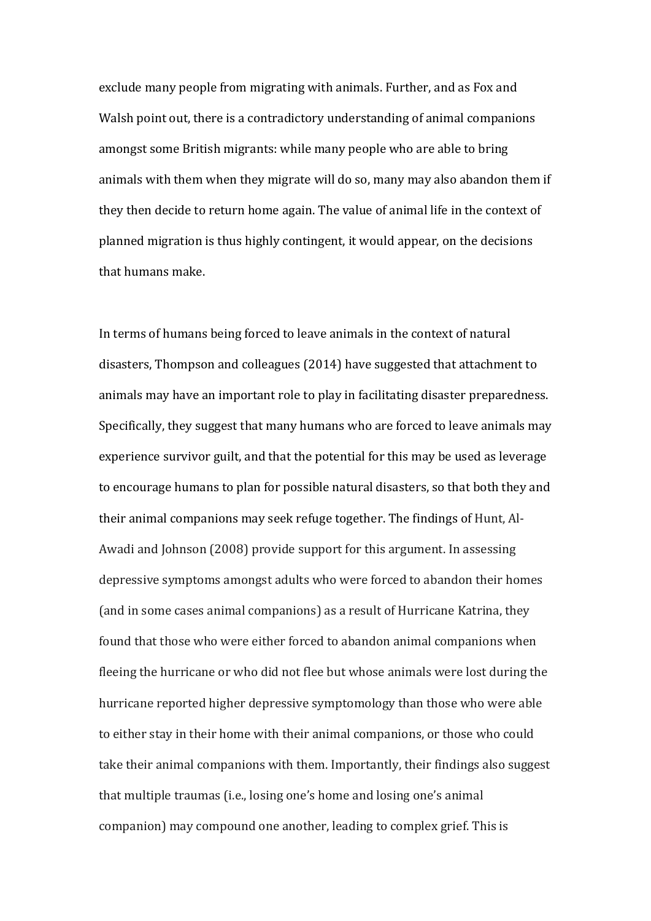exclude many people from migrating with animals. Further, and as Fox and Walsh point out, there is a contradictory understanding of animal companions amongst some British migrants: while many people who are able to bring animals with them when they migrate will do so, many may also abandon them if they then decide to return home again. The value of animal life in the context of planned migration is thus highly contingent, it would appear, on the decisions that humans make.

In terms of humans being forced to leave animals in the context of natural disasters, Thompson and colleagues (2014) have suggested that attachment to animals may have an important role to play in facilitating disaster preparedness. Specifically, they suggest that many humans who are forced to leave animals may experience survivor guilt, and that the potential for this may be used as leverage to encourage humans to plan for possible natural disasters, so that both they and their animal companions may seek refuge together. The findings of Hunt, Al-Awadi and Johnson (2008) provide support for this argument. In assessing depressive symptoms amongst adults who were forced to abandon their homes (and in some cases animal companions) as a result of Hurricane Katrina, they found that those who were either forced to abandon animal companions when fleeing the hurricane or who did not flee but whose animals were lost during the hurricane reported higher depressive symptomology than those who were able to either stay in their home with their animal companions, or those who could take their animal companions with them. Importantly, their findings also suggest that multiple traumas (i.e., losing one's home and losing one's animal companion) may compound one another, leading to complex grief. This is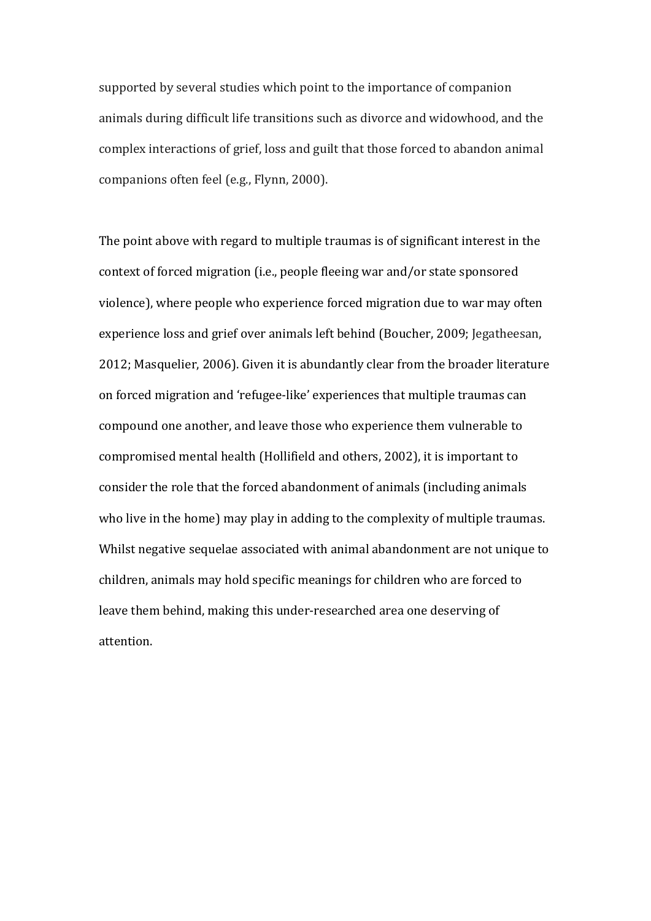supported by several studies which point to the importance of companion animals during difficult life transitions such as divorce and widowhood, and the complex interactions of grief, loss and guilt that those forced to abandon animal companions often feel (e.g., Flynn, 2000).

The point above with regard to multiple traumas is of significant interest in the context of forced migration (i.e., people fleeing war and/or state sponsored violence), where people who experience forced migration due to war may often experience loss and grief over animals left behind (Boucher, 2009; Jegatheesan, 2012; Masquelier, 2006). Given it is abundantly clear from the broader literature on forced migration and 'refugee-like' experiences that multiple traumas can compound one another, and leave those who experience them vulnerable to compromised mental health (Hollifield and others, 2002), it is important to consider the role that the forced abandonment of animals (including animals who live in the home) may play in adding to the complexity of multiple traumas. Whilst negative sequelae associated with animal abandonment are not unique to children, animals may hold specific meanings for children who are forced to leave them behind, making this under-researched area one deserving of attention.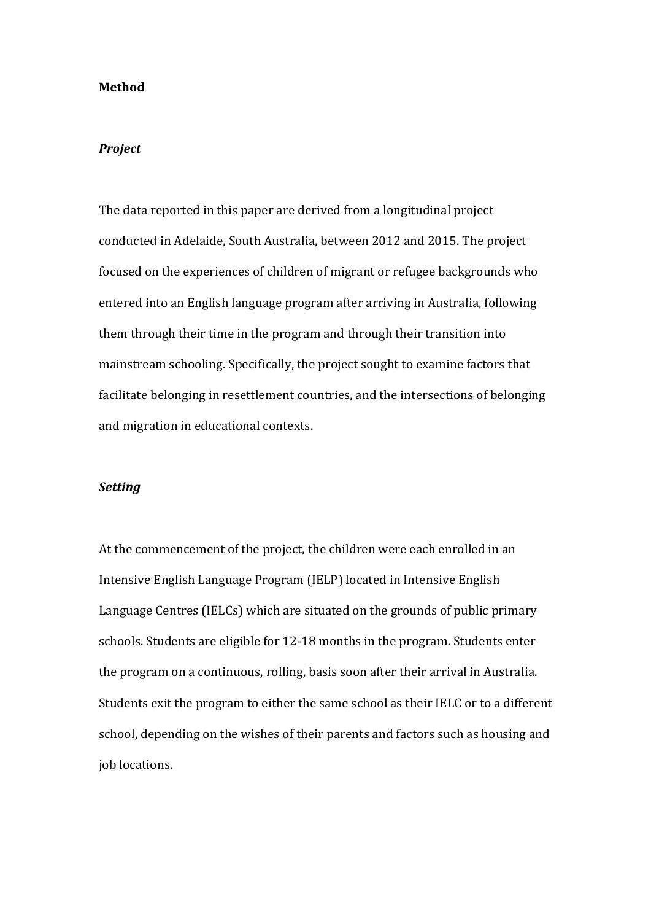### **Method**

#### *Project*

The data reported in this paper are derived from a longitudinal project conducted in Adelaide, South Australia, between 2012 and 2015. The project focused on the experiences of children of migrant or refugee backgrounds who entered into an English language program after arriving in Australia, following them through their time in the program and through their transition into mainstream schooling. Specifically, the project sought to examine factors that facilitate belonging in resettlement countries, and the intersections of belonging and migration in educational contexts.

### *Setting*

At the commencement of the project, the children were each enrolled in an Intensive English Language Program (IELP) located in Intensive English Language Centres (IELCs) which are situated on the grounds of public primary schools. Students are eligible for 12-18 months in the program. Students enter the program on a continuous, rolling, basis soon after their arrival in Australia. Students exit the program to either the same school as their IELC or to a different school, depending on the wishes of their parents and factors such as housing and job locations.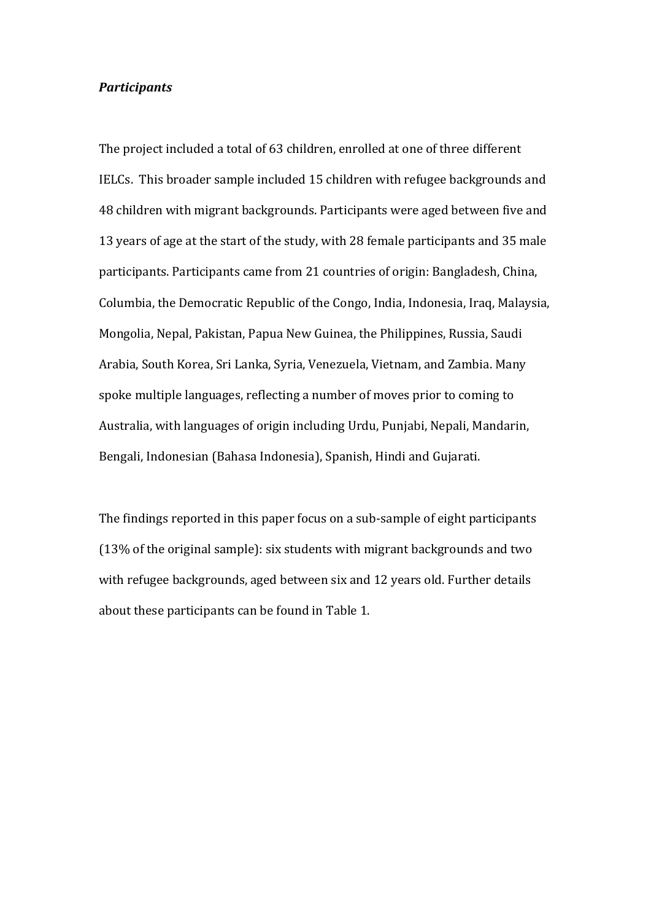### *Participants*

The project included a total of 63 children, enrolled at one of three different IELCs. This broader sample included 15 children with refugee backgrounds and 48 children with migrant backgrounds. Participants were aged between five and 13 years of age at the start of the study, with 28 female participants and 35 male participants. Participants came from 21 countries of origin: Bangladesh, China, Columbia, the Democratic Republic of the Congo, India, Indonesia, Iraq, Malaysia, Mongolia, Nepal, Pakistan, Papua New Guinea, the Philippines, Russia, Saudi Arabia, South Korea, Sri Lanka, Syria, Venezuela, Vietnam, and Zambia. Many spoke multiple languages, reflecting a number of moves prior to coming to Australia, with languages of origin including Urdu, Punjabi, Nepali, Mandarin, Bengali, Indonesian (Bahasa Indonesia), Spanish, Hindi and Gujarati.

The findings reported in this paper focus on a sub-sample of eight participants  $(13%$  of the original sample): six students with migrant backgrounds and two with refugee backgrounds, aged between six and 12 years old. Further details about these participants can be found in Table 1.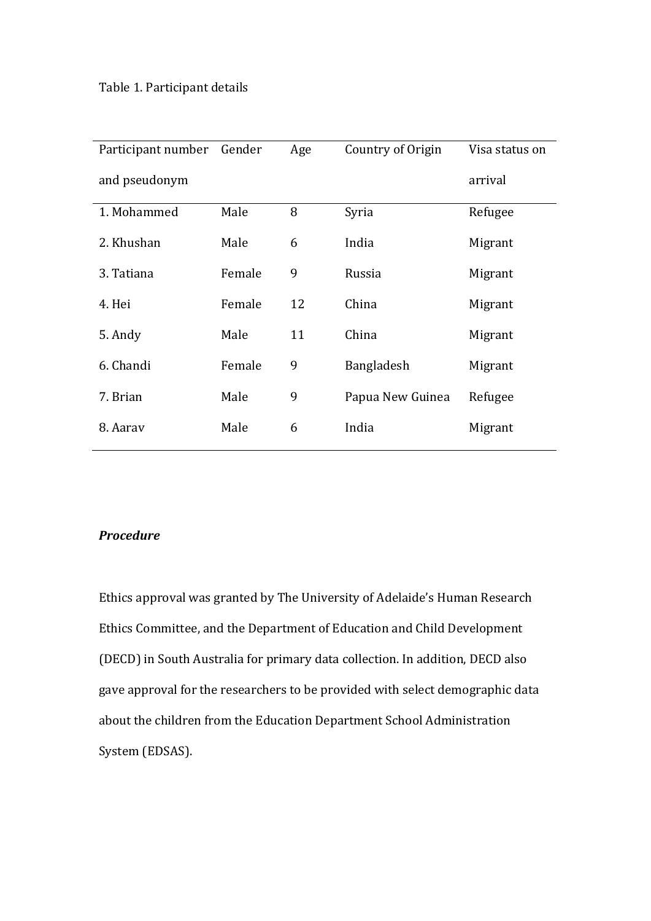| Participant number | Gender | Age | Country of Origin | Visa status on |
|--------------------|--------|-----|-------------------|----------------|
| and pseudonym      |        |     |                   | arrival        |
| 1. Mohammed        | Male   | 8   | Syria             | Refugee        |
| 2. Khushan         | Male   | 6   | India             | Migrant        |
| 3. Tatiana         | Female | 9   | Russia            | Migrant        |
| 4. Hei             | Female | 12  | China             | Migrant        |
| 5. Andy            | Male   | 11  | China             | Migrant        |
| 6. Chandi          | Female | 9   | Bangladesh        | Migrant        |
| 7. Brian           | Male   | 9   | Papua New Guinea  | Refugee        |
| 8. Aarav           | Male   | 6   | India             | Migrant        |

# *Procedure*

Ethics approval was granted by The University of Adelaide's Human Research Ethics Committee, and the Department of Education and Child Development (DECD) in South Australia for primary data collection. In addition, DECD also gave approval for the researchers to be provided with select demographic data about the children from the Education Department School Administration System (EDSAS).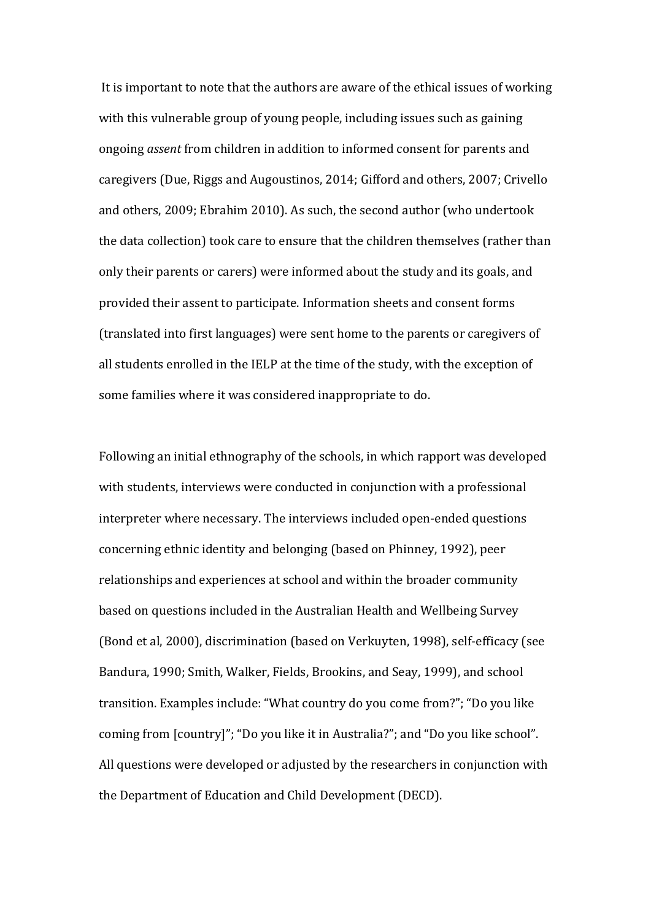It is important to note that the authors are aware of the ethical issues of working with this vulnerable group of young people, including issues such as gaining ongoing *assent* from children in addition to informed consent for parents and caregivers (Due, Riggs and Augoustinos, 2014; Gifford and others, 2007; Crivello and others, 2009; Ebrahim 2010). As such, the second author (who undertook the data collection) took care to ensure that the children themselves (rather than only their parents or carers) were informed about the study and its goals, and provided their assent to participate. Information sheets and consent forms (translated into first languages) were sent home to the parents or caregivers of all students enrolled in the IELP at the time of the study, with the exception of some families where it was considered inappropriate to do.

Following an initial ethnography of the schools, in which rapport was developed with students, interviews were conducted in conjunction with a professional interpreter where necessary. The interviews included open-ended questions concerning ethnic identity and belonging (based on Phinney, 1992), peer relationships and experiences at school and within the broader community based on questions included in the Australian Health and Wellbeing Survey (Bond et al, 2000), discrimination (based on Verkuyten, 1998), self-efficacy (see Bandura, 1990; Smith, Walker, Fields, Brookins, and Seay, 1999), and school transition. Examples include: "What country do you come from?"; "Do you like coming from [country]"; "Do you like it in Australia?"; and "Do you like school". All questions were developed or adjusted by the researchers in conjunction with the Department of Education and Child Development (DECD).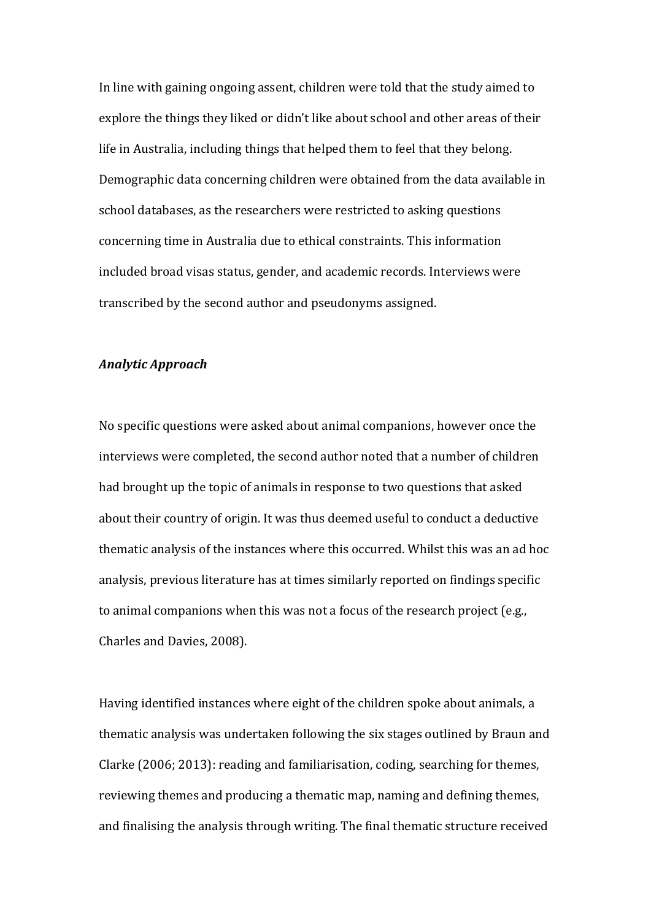In line with gaining ongoing assent, children were told that the study aimed to explore the things they liked or didn't like about school and other areas of their life in Australia, including things that helped them to feel that they belong. Demographic data concerning children were obtained from the data available in school databases, as the researchers were restricted to asking questions concerning time in Australia due to ethical constraints. This information included broad visas status, gender, and academic records. Interviews were transcribed by the second author and pseudonyms assigned.

#### *Analytic Approach*

No specific questions were asked about animal companions, however once the interviews were completed, the second author noted that a number of children had brought up the topic of animals in response to two questions that asked about their country of origin. It was thus deemed useful to conduct a deductive thematic analysis of the instances where this occurred. Whilst this was an ad hoc analysis, previous literature has at times similarly reported on findings specific to animal companions when this was not a focus of the research project (e.g., Charles and Davies, 2008).

Having identified instances where eight of the children spoke about animals, a thematic analysis was undertaken following the six stages outlined by Braun and Clarke  $(2006; 2013)$ : reading and familiarisation, coding, searching for themes, reviewing themes and producing a thematic map, naming and defining themes, and finalising the analysis through writing. The final thematic structure received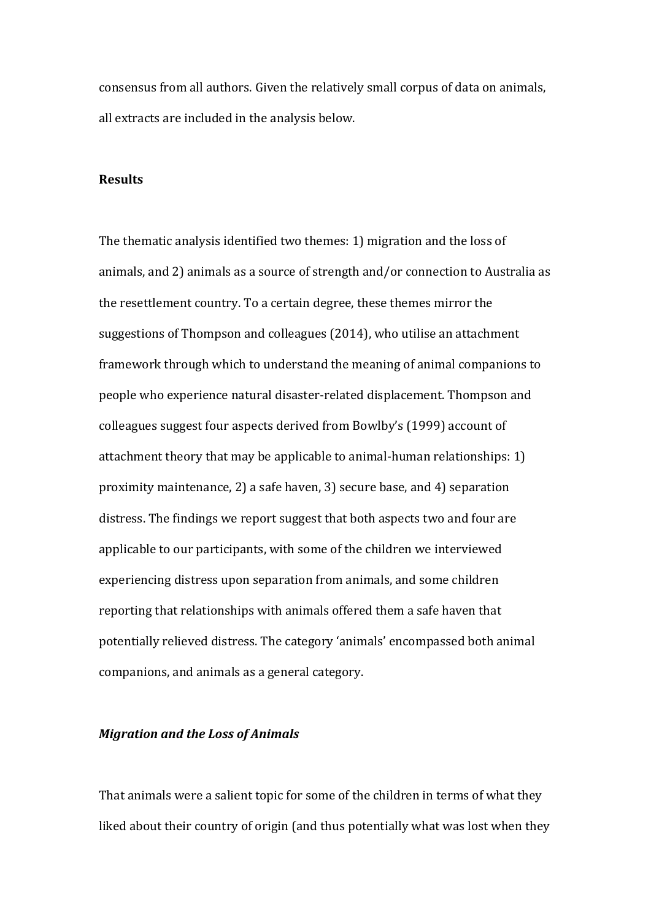consensus from all authors. Given the relatively small corpus of data on animals, all extracts are included in the analysis below.

### **Results**

The thematic analysis identified two themes: 1) migration and the loss of animals, and 2) animals as a source of strength and/or connection to Australia as the resettlement country. To a certain degree, these themes mirror the suggestions of Thompson and colleagues (2014), who utilise an attachment framework through which to understand the meaning of animal companions to people who experience natural disaster-related displacement. Thompson and colleagues suggest four aspects derived from Bowlby's (1999) account of attachment theory that may be applicable to animal-human relationships:  $1$ ) proximity maintenance, 2) a safe haven, 3) secure base, and 4) separation distress. The findings we report suggest that both aspects two and four are applicable to our participants, with some of the children we interviewed experiencing distress upon separation from animals, and some children reporting that relationships with animals offered them a safe haven that potentially relieved distress. The category 'animals' encompassed both animal companions, and animals as a general category.

## *Migration and the Loss of Animals*

That animals were a salient topic for some of the children in terms of what they liked about their country of origin (and thus potentially what was lost when they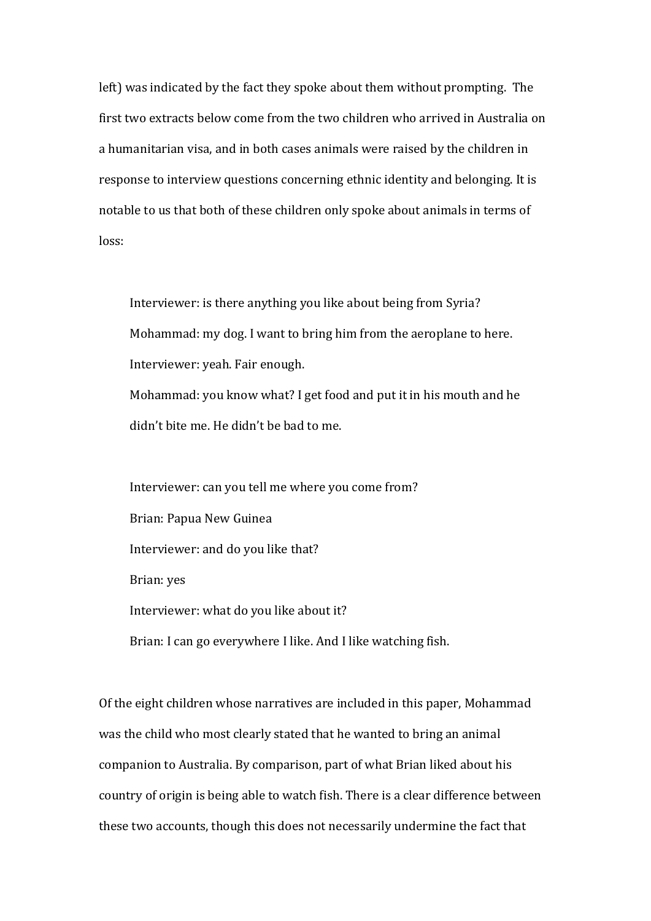left) was indicated by the fact they spoke about them without prompting. The first two extracts below come from the two children who arrived in Australia on a humanitarian visa, and in both cases animals were raised by the children in response to interview questions concerning ethnic identity and belonging. It is notable to us that both of these children only spoke about animals in terms of loss:

Interviewer: is there anything you like about being from Syria? Mohammad: my dog. I want to bring him from the aeroplane to here. Interviewer: yeah. Fair enough. Mohammad: you know what? I get food and put it in his mouth and he didn't bite me. He didn't be bad to me.

Interviewer: can you tell me where you come from? Brian: Papua New Guinea Interviewer: and do you like that? Brian: yes Interviewer: what do you like about it? Brian: I can go everywhere I like. And I like watching fish.

Of the eight children whose narratives are included in this paper, Mohammad was the child who most clearly stated that he wanted to bring an animal companion to Australia. By comparison, part of what Brian liked about his country of origin is being able to watch fish. There is a clear difference between these two accounts, though this does not necessarily undermine the fact that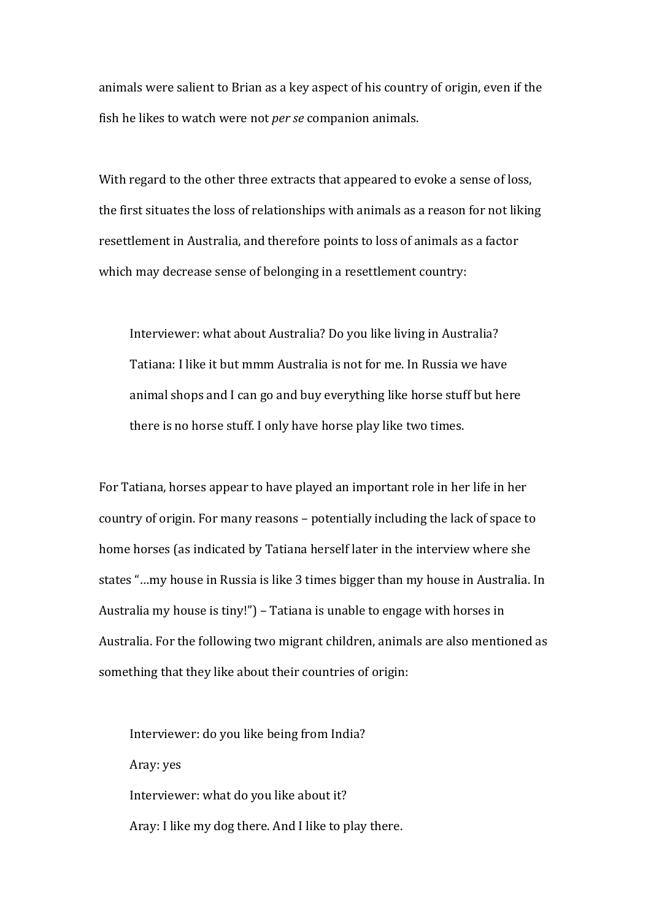animals were salient to Brian as a key aspect of his country of origin, even if the fish he likes to watch were not *per se* companion animals.

With regard to the other three extracts that appeared to evoke a sense of loss, the first situates the loss of relationships with animals as a reason for not liking resettlement in Australia, and therefore points to loss of animals as a factor which may decrease sense of belonging in a resettlement country:

Interviewer: what about Australia? Do you like living in Australia? Tatiana: I like it but mmm Australia is not for me. In Russia we have animal shops and I can go and buy everything like horse stuff but here there is no horse stuff. I only have horse play like two times.

For Tatiana, horses appear to have played an important role in her life in her country of origin. For many reasons – potentially including the lack of space to home horses (as indicated by Tatiana herself later in the interview where she states "...my house in Russia is like 3 times bigger than my house in Australia. In Australia my house is tiny!") – Tatiana is unable to engage with horses in Australia. For the following two migrant children, animals are also mentioned as something that they like about their countries of origin:

Interviewer: do you like being from India? Aray: yes Interviewer: what do you like about it? Aray: I like my dog there. And I like to play there.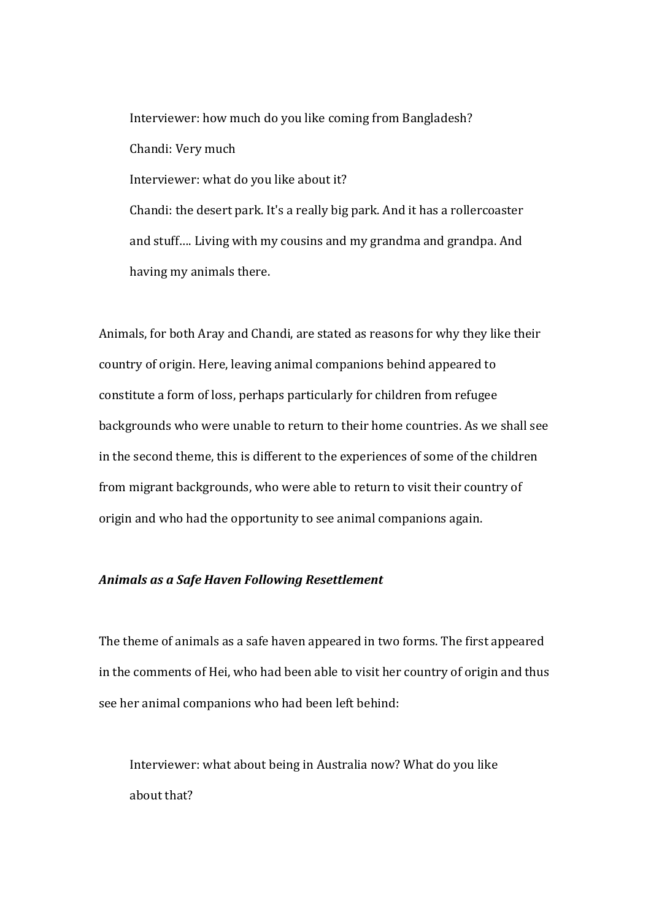Interviewer: how much do you like coming from Bangladesh? Chandi: Very much Interviewer: what do you like about it? Chandi: the desert park. It's a really big park. And it has a rollercoaster and stuff.... Living with my cousins and my grandma and grandpa. And having my animals there.

Animals, for both Aray and Chandi, are stated as reasons for why they like their country of origin. Here, leaving animal companions behind appeared to constitute a form of loss, perhaps particularly for children from refugee backgrounds who were unable to return to their home countries. As we shall see in the second theme, this is different to the experiences of some of the children from migrant backgrounds, who were able to return to visit their country of origin and who had the opportunity to see animal companions again.

### Animals as a Safe Haven Following Resettlement

The theme of animals as a safe haven appeared in two forms. The first appeared in the comments of Hei, who had been able to visit her country of origin and thus see her animal companions who had been left behind:

Interviewer: what about being in Australia now? What do you like about that?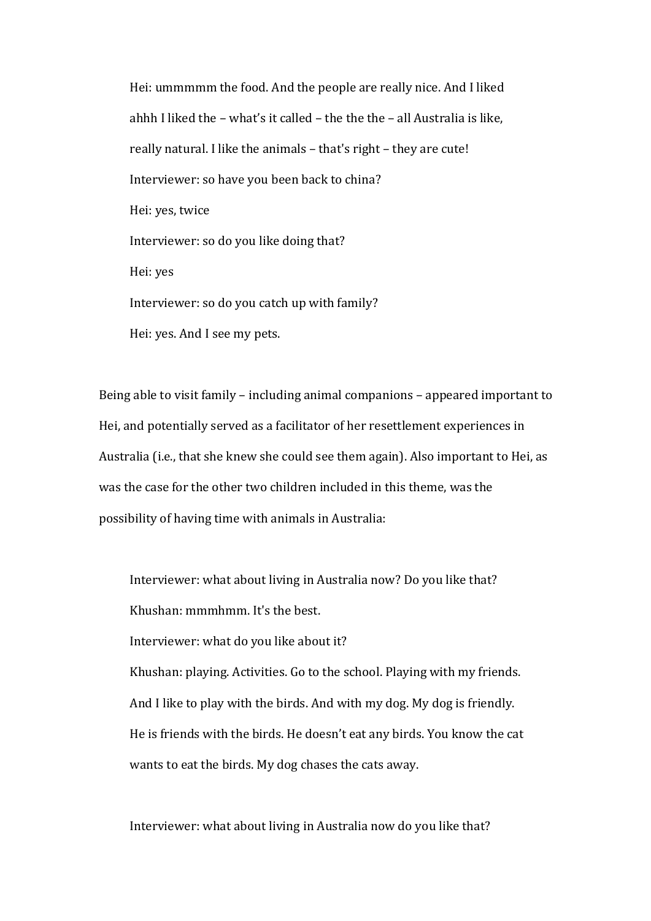Hei: ummmmm the food. And the people are really nice. And I liked ahhh I liked the  $-$  what's it called  $-$  the the  $-$  all Australia is like, really natural. I like the animals - that's right - they are cute! Interviewer: so have you been back to china? Hei: ves, twice Interviewer: so do you like doing that? Hei: yes Interviewer: so do you catch up with family? Hei: yes. And I see my pets.

Being able to visit family – including animal companions – appeared important to Hei, and potentially served as a facilitator of her resettlement experiences in Australia (i.e., that she knew she could see them again). Also important to Hei, as was the case for the other two children included in this theme, was the possibility of having time with animals in Australia:

Interviewer: what about living in Australia now? Do you like that? Khushan: mmmhmm. It's the best. Interviewer: what do you like about it? Khushan: playing. Activities. Go to the school. Playing with my friends. And I like to play with the birds. And with my dog. My dog is friendly. He is friends with the birds. He doesn't eat any birds. You know the cat wants to eat the birds. My dog chases the cats away.

Interviewer: what about living in Australia now do you like that?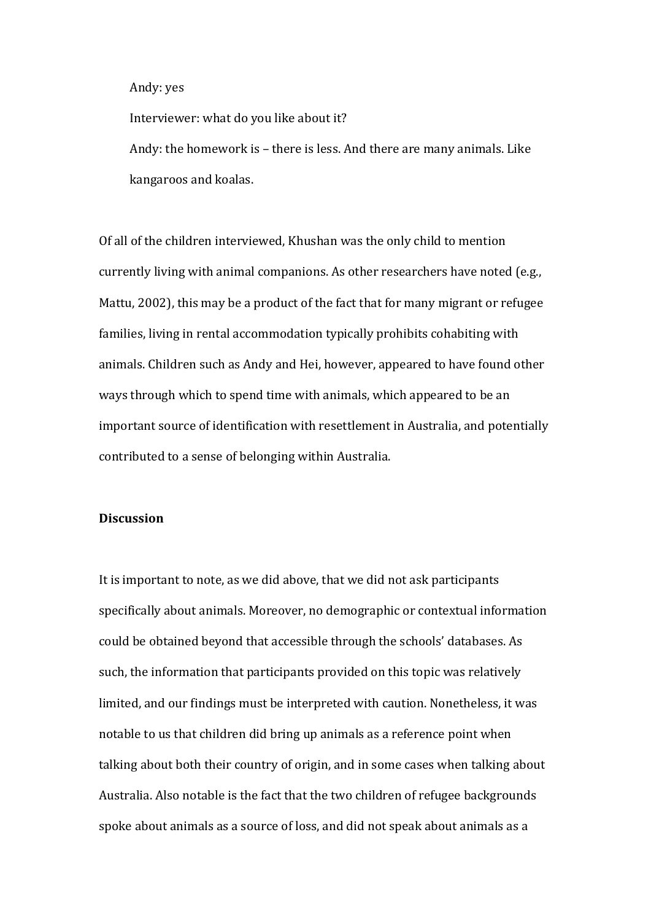#### Andy: yes

Interviewer: what do you like about it?

Andy: the homework is - there is less. And there are many animals. Like kangaroos and koalas.

Of all of the children interviewed, Khushan was the only child to mention currently living with animal companions. As other researchers have noted (e.g., Mattu, 2002), this may be a product of the fact that for many migrant or refugee families, living in rental accommodation typically prohibits cohabiting with animals. Children such as Andy and Hei, however, appeared to have found other ways through which to spend time with animals, which appeared to be an important source of identification with resettlement in Australia, and potentially contributed to a sense of belonging within Australia.

### **Discussion**

It is important to note, as we did above, that we did not ask participants specifically about animals. Moreover, no demographic or contextual information could be obtained beyond that accessible through the schools' databases. As such, the information that participants provided on this topic was relatively limited, and our findings must be interpreted with caution. Nonetheless, it was notable to us that children did bring up animals as a reference point when talking about both their country of origin, and in some cases when talking about Australia. Also notable is the fact that the two children of refugee backgrounds spoke about animals as a source of loss, and did not speak about animals as a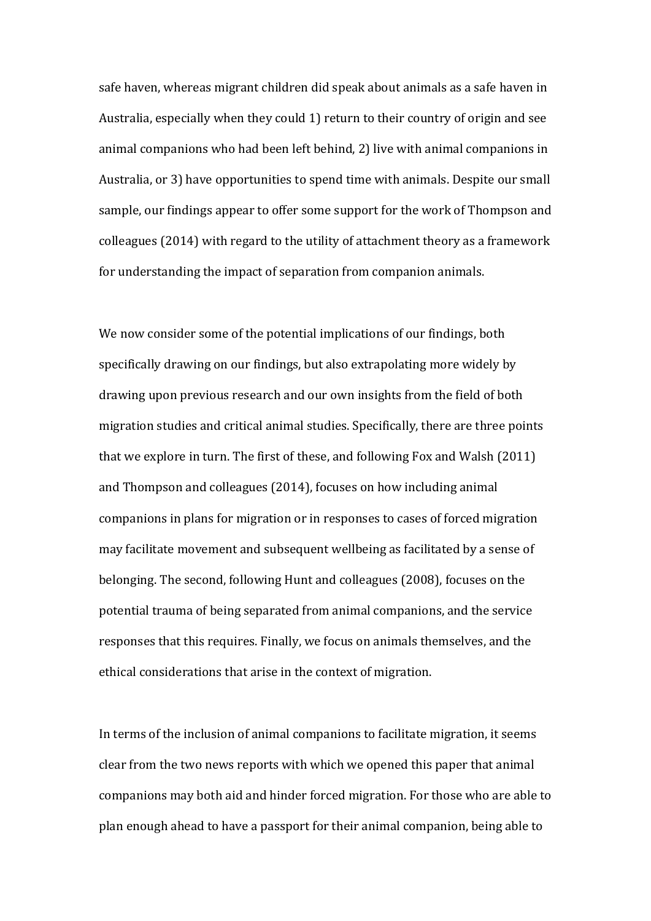safe haven, whereas migrant children did speak about animals as a safe haven in Australia, especially when they could 1) return to their country of origin and see animal companions who had been left behind, 2) live with animal companions in Australia, or 3) have opportunities to spend time with animals. Despite our small sample, our findings appear to offer some support for the work of Thompson and colleagues (2014) with regard to the utility of attachment theory as a framework for understanding the impact of separation from companion animals.

We now consider some of the potential implications of our findings, both specifically drawing on our findings, but also extrapolating more widely by drawing upon previous research and our own insights from the field of both migration studies and critical animal studies. Specifically, there are three points that we explore in turn. The first of these, and following Fox and Walsh  $(2011)$ and Thompson and colleagues (2014), focuses on how including animal companions in plans for migration or in responses to cases of forced migration may facilitate movement and subsequent wellbeing as facilitated by a sense of belonging. The second, following Hunt and colleagues (2008), focuses on the potential trauma of being separated from animal companions, and the service responses that this requires. Finally, we focus on animals themselves, and the ethical considerations that arise in the context of migration.

In terms of the inclusion of animal companions to facilitate migration, it seems clear from the two news reports with which we opened this paper that animal companions may both aid and hinder forced migration. For those who are able to plan enough ahead to have a passport for their animal companion, being able to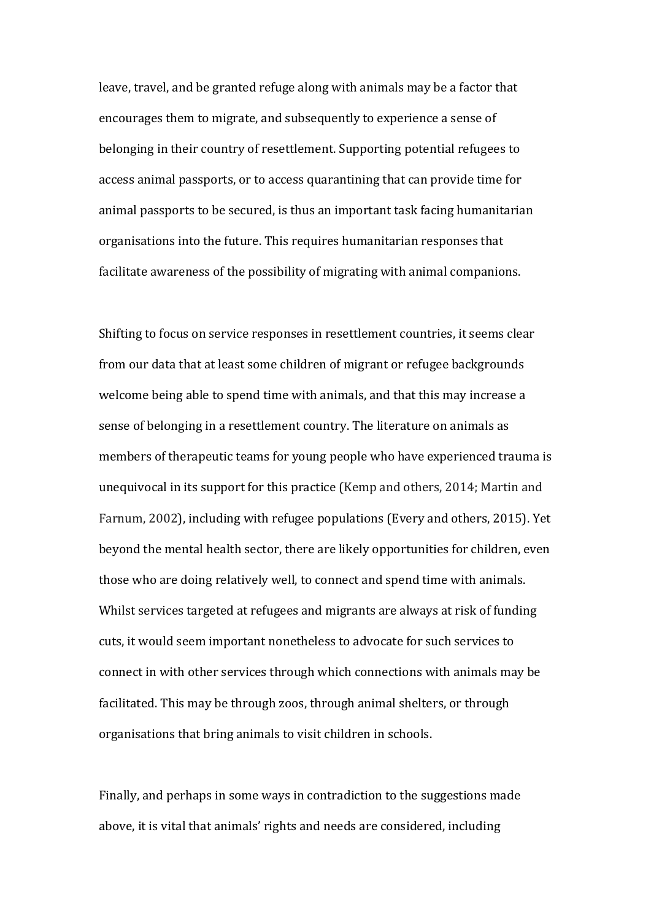leave, travel, and be granted refuge along with animals may be a factor that encourages them to migrate, and subsequently to experience a sense of belonging in their country of resettlement. Supporting potential refugees to access animal passports, or to access quarantining that can provide time for animal passports to be secured, is thus an important task facing humanitarian organisations into the future. This requires humanitarian responses that facilitate awareness of the possibility of migrating with animal companions.

Shifting to focus on service responses in resettlement countries, it seems clear from our data that at least some children of migrant or refugee backgrounds welcome being able to spend time with animals, and that this may increase a sense of belonging in a resettlement country. The literature on animals as members of therapeutic teams for young people who have experienced trauma is unequivocal in its support for this practice (Kemp and others, 2014; Martin and Farnum, 2002), including with refugee populations (Every and others, 2015). Yet beyond the mental health sector, there are likely opportunities for children, even those who are doing relatively well, to connect and spend time with animals. Whilst services targeted at refugees and migrants are always at risk of funding cuts, it would seem important nonetheless to advocate for such services to connect in with other services through which connections with animals may be facilitated. This may be through zoos, through animal shelters, or through organisations that bring animals to visit children in schools.

Finally, and perhaps in some ways in contradiction to the suggestions made above, it is vital that animals' rights and needs are considered, including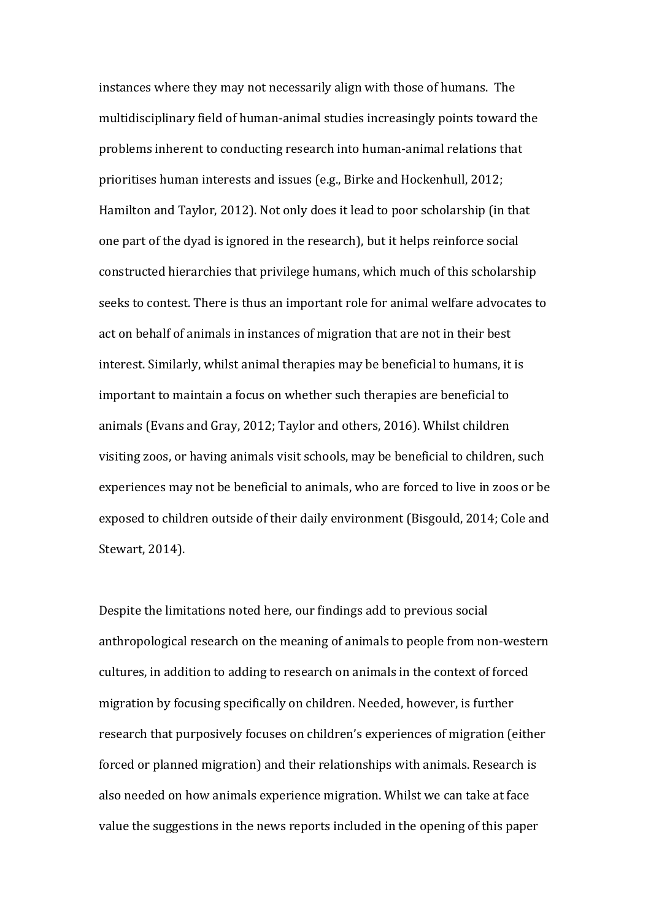instances where they may not necessarily align with those of humans. The multidisciplinary field of human-animal studies increasingly points toward the problems inherent to conducting research into human-animal relations that prioritises human interests and issues (e.g., Birke and Hockenhull, 2012; Hamilton and Taylor, 2012). Not only does it lead to poor scholarship (in that one part of the dyad is ignored in the research), but it helps reinforce social constructed hierarchies that privilege humans, which much of this scholarship seeks to contest. There is thus an important role for animal welfare advocates to act on behalf of animals in instances of migration that are not in their best interest. Similarly, whilst animal therapies may be beneficial to humans, it is important to maintain a focus on whether such therapies are beneficial to animals (Evans and Gray, 2012; Taylor and others, 2016). Whilst children visiting zoos, or having animals visit schools, may be beneficial to children, such experiences may not be beneficial to animals, who are forced to live in zoos or be exposed to children outside of their daily environment (Bisgould, 2014; Cole and Stewart, 2014).

Despite the limitations noted here, our findings add to previous social anthropological research on the meaning of animals to people from non-western cultures, in addition to adding to research on animals in the context of forced migration by focusing specifically on children. Needed, however, is further research that purposively focuses on children's experiences of migration (either forced or planned migration) and their relationships with animals. Research is also needed on how animals experience migration. Whilst we can take at face value the suggestions in the news reports included in the opening of this paper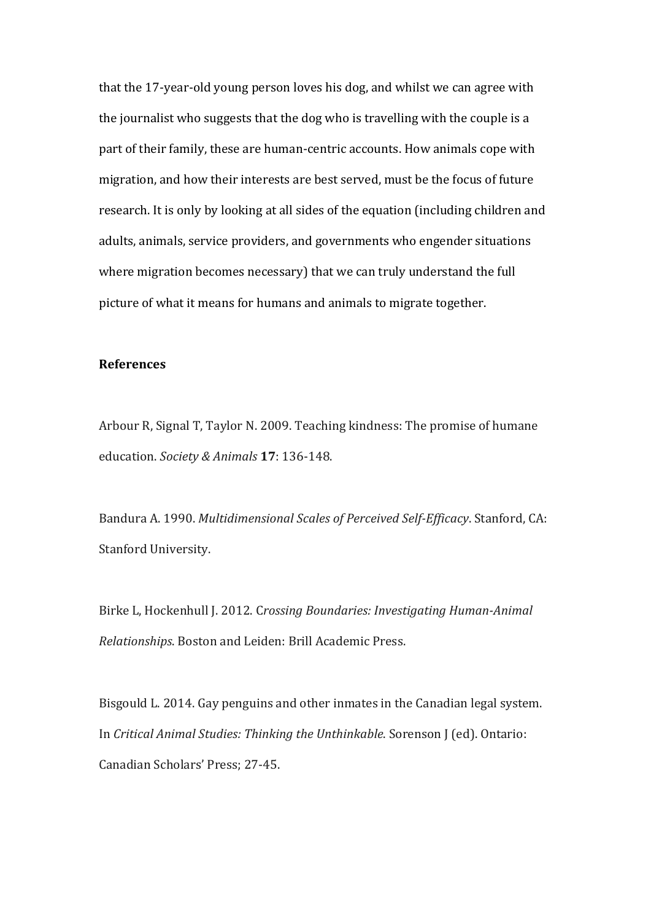that the 17-year-old young person loves his dog, and whilst we can agree with the journalist who suggests that the dog who is travelling with the couple is a part of their family, these are human-centric accounts. How animals cope with migration, and how their interests are best served, must be the focus of future research. It is only by looking at all sides of the equation (including children and adults, animals, service providers, and governments who engender situations where migration becomes necessary) that we can truly understand the full picture of what it means for humans and animals to migrate together.

## **References**

Arbour R, Signal T, Taylor N. 2009. Teaching kindness: The promise of humane education. *Society & Animals* **17**: 136-148.

Bandura A. 1990. *Multidimensional Scales of Perceived Self-Efficacy*. Stanford, CA: Stanford University.

Birke L, Hockenhull J. 2012. Crossing Boundaries: Investigating Human-Animal *Relationships*. Boston and Leiden: Brill Academic Press.

Bisgould L. 2014. Gay penguins and other inmates in the Canadian legal system. In *Critical Animal Studies: Thinking the Unthinkable*. Sorenson J (ed). Ontario: Canadian Scholars' Press; 27-45.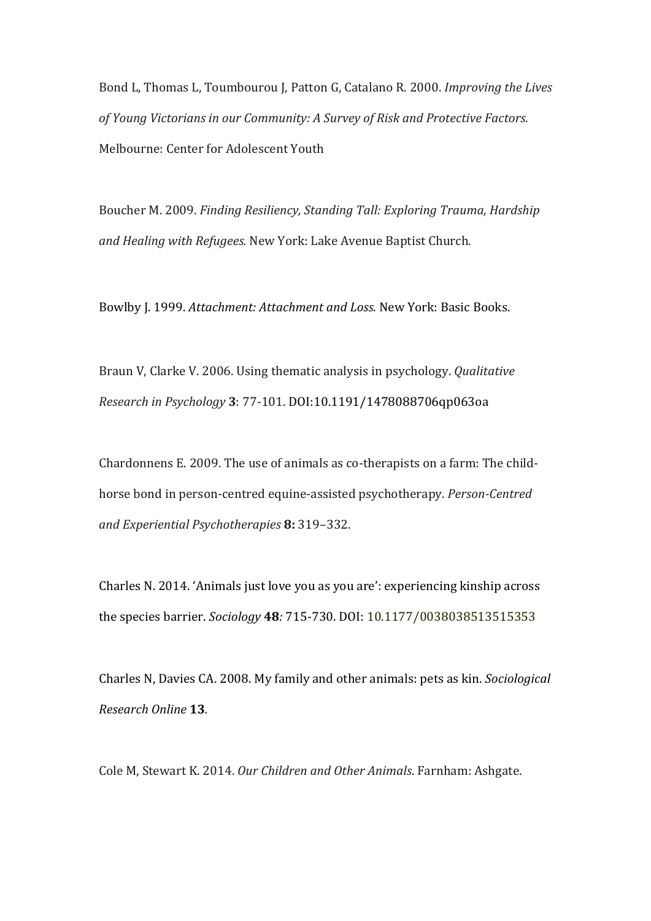Bond L, Thomas L, Toumbourou J, Patton G, Catalano R. 2000. *Improving the Lives* of Young Victorians in our Community: A Survey of Risk and Protective Factors. Melbourne: Center for Adolescent Youth

Boucher M. 2009. *Finding Resiliency, Standing Tall: Exploring Trauma, Hardship* and *Healing* with *Refugees*. New York: Lake Avenue Baptist Church.

Bowlby J. 1999. *Attachment: Attachment and Loss*. New York: Basic Books.

Braun V, Clarke V. 2006. Using thematic analysis in psychology. *Qualitative Research in Psychology* **3**: 77-101. DOI:10.1191/1478088706qp063oa

Chardonnens E. 2009. The use of animals as co-therapists on a farm: The childhorse bond in person-centred equine-assisted psychotherapy. Person-Centred *and Experiential Psychotherapies* **8:** 319–332.

Charles N. 2014. 'Animals just love you as you are': experiencing kinship across the species barrier. *Sociology* **48***:* 715-730. DOI: 10.1177/0038038513515353

Charles N, Davies CA. 2008. My family and other animals: pets as kin. *Sociological Research Online* **13***.* 

Cole M, Stewart K. 2014. Our Children and Other Animals. Farnham: Ashgate.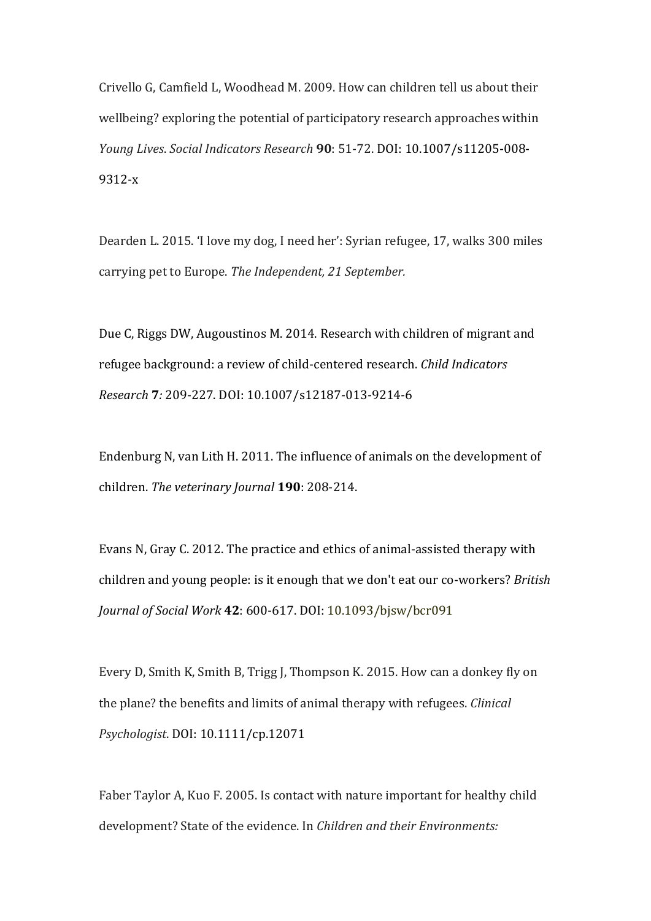Crivello G, Camfield L, Woodhead M. 2009. How can children tell us about their wellbeing? exploring the potential of participatory research approaches within *Young Lives*. *Social Indicators Research* **90**: 51-72. DOI: 10.1007/s11205-008- 9312-x

Dearden L. 2015. 'I love my dog, I need her': Syrian refugee, 17, walks 300 miles carrying pet to Europe. *The Independent*, 21 September.

Due C, Riggs DW, Augoustinos M. 2014. Research with children of migrant and refugee background: a review of child-centered research. *Child Indicators Research* **7***:* 209-227. DOI: 10.1007/s12187-013-9214-6

Endenburg N, van Lith H. 2011. The influence of animals on the development of children. The veterinary Journal **190**: 208-214.

Evans N, Gray C. 2012. The practice and ethics of animal-assisted therapy with children and young people: is it enough that we don't eat our co-workers? *British Journal of Social Work* **42**: 600-617. DOI: 10.1093/bjsw/bcr091

Every D, Smith K, Smith B, Trigg J, Thompson K. 2015. How can a donkey fly on the plane? the benefits and limits of animal therapy with refugees. *Clinical Psychologist*. DOI: 10.1111/cp.12071

Faber Taylor A, Kuo F. 2005. Is contact with nature important for healthy child development? State of the evidence. In *Children and their Environments:*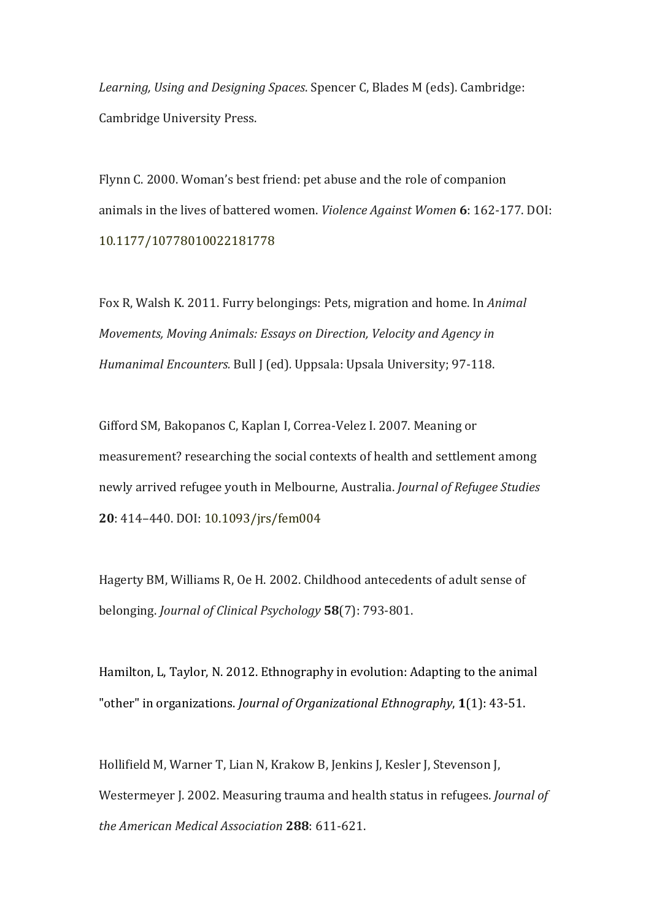Learning, Using and Designing Spaces. Spencer C, Blades M (eds). Cambridge: Cambridge University Press.

Flynn C. 2000. Woman's best friend: pet abuse and the role of companion animals in the lives of battered women. *Violence Against Women* 6: 162-177. DOI: 10.1177/10778010022181778

Fox R, Walsh K. 2011. Furry belongings: Pets, migration and home. In *Animal Movements, Moving Animals: Essays on Direction, Velocity and Agency in Humanimal Encounters.* Bull J (ed). Uppsala: Upsala University; 97-118.

Gifford SM, Bakopanos C, Kaplan I, Correa-Velez I. 2007. Meaning or measurement? researching the social contexts of health and settlement among newly arrived refugee youth in Melbourne, Australia. *Journal of Refugee Studies* 20: 414-440. DOI: 10.1093/jrs/fem004

Hagerty BM, Williams R, Oe H. 2002. Childhood antecedents of adult sense of belonging. *Journal of Clinical Psychology* **58**(7): 793-801. 

Hamilton, L, Taylor, N. 2012. Ethnography in evolution: Adapting to the animal "other" in organizations. *Journal of Organizational Ethnography*, 1(1): 43-51.

Hollifield M, Warner T, Lian N, Krakow B, Jenkins J, Kesler J, Stevenson J, Westermeyer J. 2002. Measuring trauma and health status in refugees. *Journal of the American Medical Association* **288**: 611-621.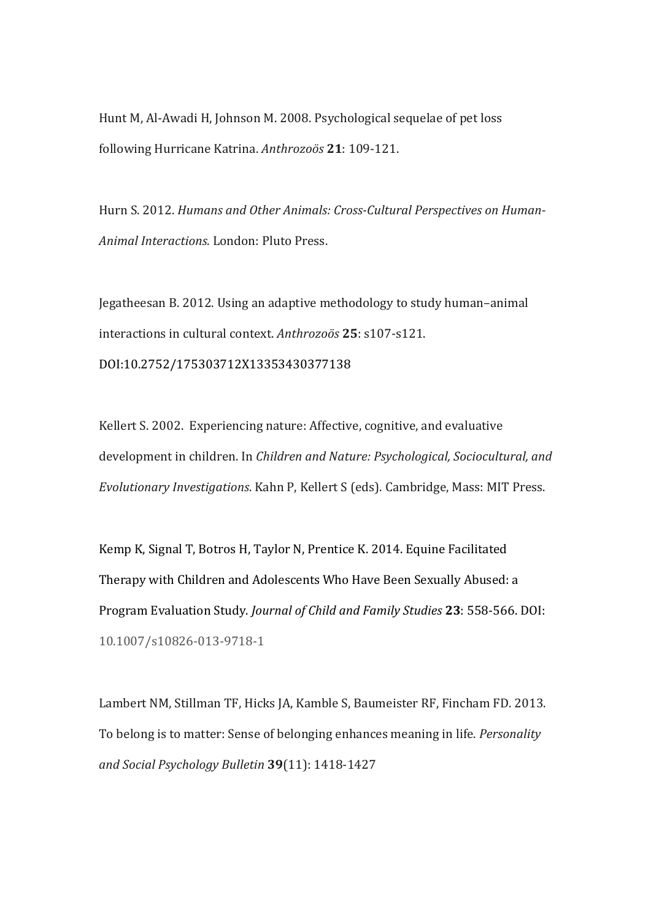Hunt M, Al-Awadi H, Johnson M. 2008. Psychological sequelae of pet loss following Hurricane Katrina. *Anthrozoös* **21**: 109-121.

Hurn S. 2012. *Humans and Other Animals: Cross-Cultural Perspectives on Human-*Animal Interactions. London: Pluto Press.

Jegatheesan B. 2012. Using an adaptive methodology to study human-animal interactions in cultural context. Anthrozoös 25: s107-s121. DOI:10.2752/175303712X13353430377138

Kellert S. 2002. Experiencing nature: Affective, cognitive, and evaluative development in children. In *Children and Nature: Psychological, Sociocultural, and Evolutionary Investigations.* Kahn P, Kellert S (eds). Cambridge, Mass: MIT Press.

Kemp K, Signal T, Botros H, Taylor N, Prentice K. 2014. Equine Facilitated Therapy with Children and Adolescents Who Have Been Sexually Abused: a Program Evaluation Study. *Journal of Child and Family Studies* **23**: 558-566. DOI: 10.1007/s10826-013-9718-1

Lambert NM, Stillman TF, Hicks JA, Kamble S, Baumeister RF, Fincham FD. 2013. To belong is to matter: Sense of belonging enhances meaning in life. *Personality and Social Psychology Bulletin* **39**(11): 1418-1427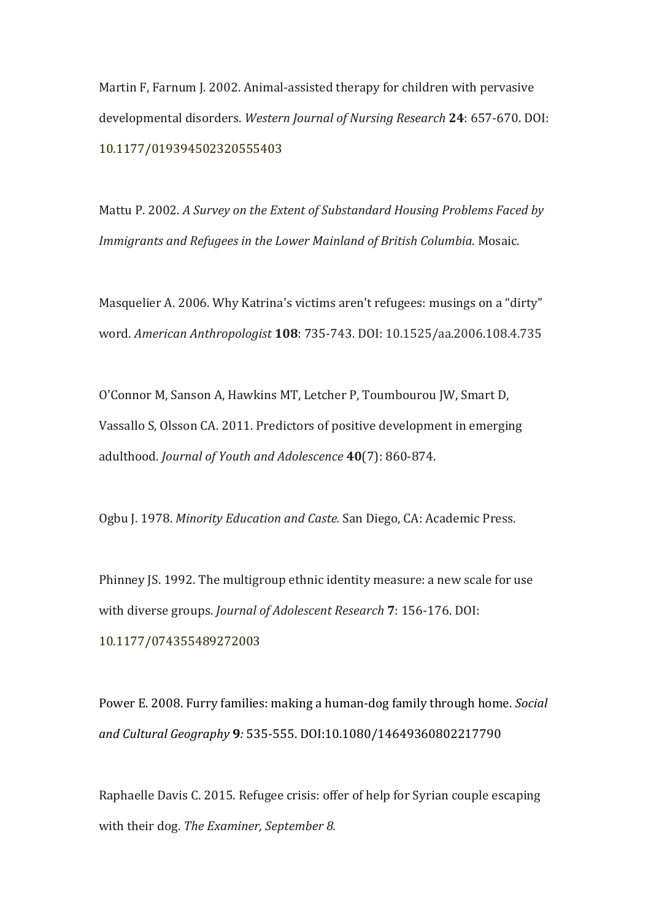Martin F, Farnum J. 2002. Animal-assisted therapy for children with pervasive developmental disorders. Western Journal of Nursing Research 24: 657-670. DOI: 10.1177/019394502320555403

Mattu P. 2002. A Survey on the Extent of Substandard Housing Problems Faced by *Immigrants and Refugees in the Lower Mainland of British Columbia.* Mosaic.

Masquelier A. 2006. Why Katrina's victims aren't refugees: musings on a "dirty" word. *American Anthropologist* **108**: 735-743. DOI: 10.1525/aa.2006.108.4.735

O'Connor M, Sanson A, Hawkins MT, Letcher P, Toumbourou JW, Smart D, Vassallo S, Olsson CA. 2011. Predictors of positive development in emerging adulthood. *Journal of Youth and Adolescence* 40(7): 860-874.

Ogbu J. 1978. Minority Education and Caste. San Diego, CA: Academic Press.

Phinney JS. 1992. The multigroup ethnic identity measure: a new scale for use with diverse groups. *Journal of Adolescent Research* 7: 156-176. DOI: 10.1177/074355489272003

Power E. 2008. Furry families: making a human-dog family through home. *Social and Cultural Geography* **9***:* 535-555. DOI:10.1080/14649360802217790

Raphaelle Davis C. 2015. Refugee crisis: offer of help for Syrian couple escaping with their dog. The Examiner, September 8.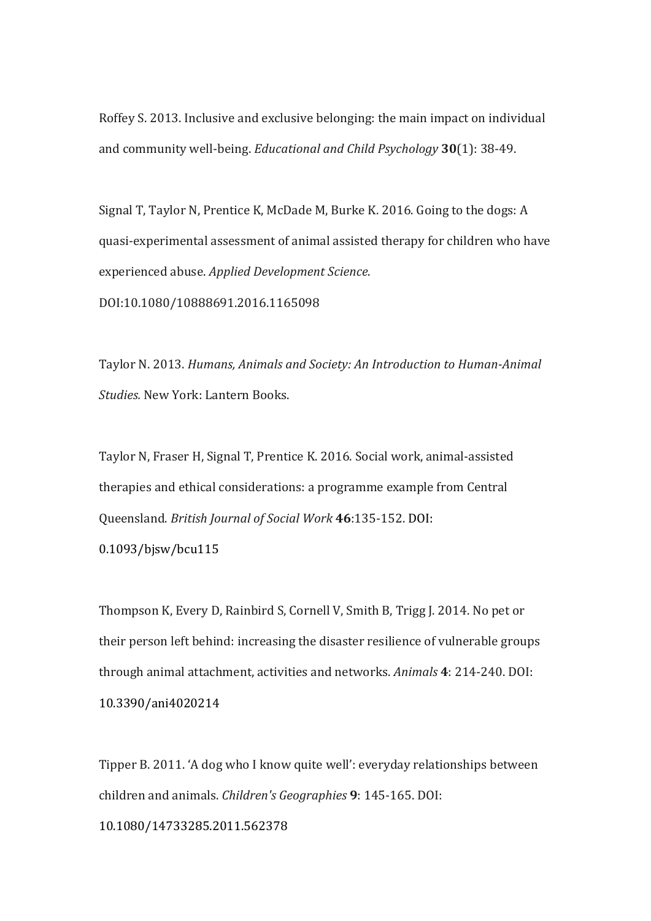Roffey S. 2013. Inclusive and exclusive belonging: the main impact on individual and community well-being. *Educational and Child Psychology* 30(1): 38-49.

Signal T, Taylor N, Prentice K, McDade M, Burke K. 2016. Going to the dogs: A quasi-experimental assessment of animal assisted therapy for children who have experienced abuse. *Applied Development Science*. DOI:10.1080/10888691.2016.1165098

Taylor N. 2013. *Humans, Animals and Society: An Introduction to Human-Animal Studies.* New York: Lantern Books.

Taylor N, Fraser H, Signal T, Prentice K. 2016. Social work, animal-assisted therapies and ethical considerations: a programme example from Central Queensland. *British Journal of Social Work* **46**:135-152. DOI: 

0.1093/bjsw/bcu115

Thompson K, Every D, Rainbird S, Cornell V, Smith B, Trigg J. 2014. No pet or their person left behind: increasing the disaster resilience of vulnerable groups through animal attachment, activities and networks. *Animals* 4: 214-240. DOI: 10.3390/ani4020214

Tipper B. 2011. 'A dog who I know quite well': everyday relationships between children and animals. *Children's Geographies* 9: 145-165. DOI:

10.1080/14733285.2011.562378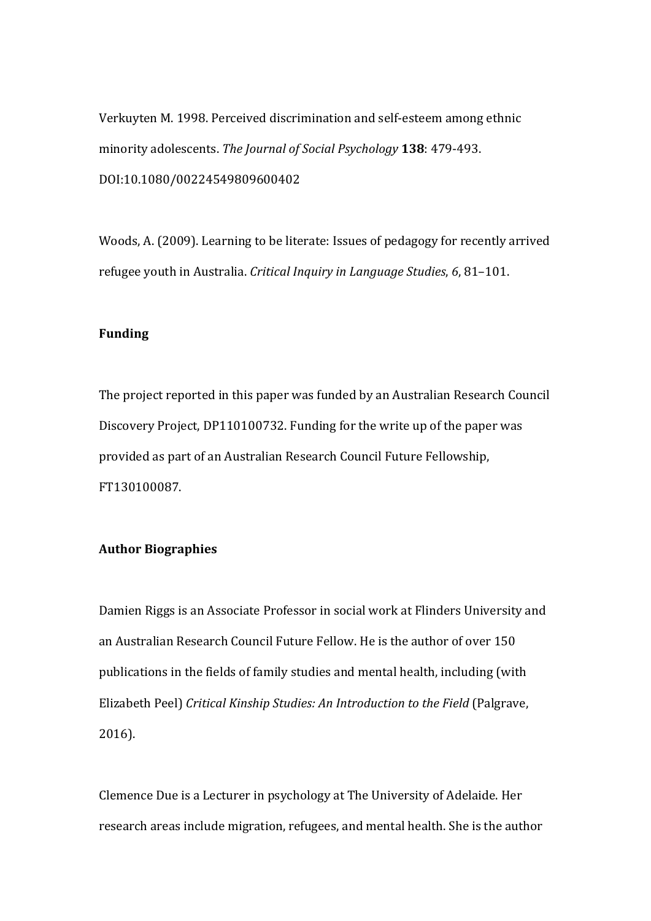Verkuyten M. 1998. Perceived discrimination and self-esteem among ethnic minority adolescents. The Journal of Social Psychology 138: 479-493. DOI:10.1080/00224549809600402

Woods, A. (2009). Learning to be literate: Issues of pedagogy for recently arrived refugee youth in Australia. *Critical Inquiry in Language Studies*, 6, 81–101.

# **Funding**

The project reported in this paper was funded by an Australian Research Council Discovery Project, DP110100732. Funding for the write up of the paper was provided as part of an Australian Research Council Future Fellowship, FT130100087.

## **Author Biographies**

Damien Riggs is an Associate Professor in social work at Flinders University and an Australian Research Council Future Fellow. He is the author of over 150 publications in the fields of family studies and mental health, including (with Elizabeth Peel) Critical Kinship Studies: An Introduction to the Field (Palgrave, 2016).

Clemence Due is a Lecturer in psychology at The University of Adelaide. Her research areas include migration, refugees, and mental health. She is the author